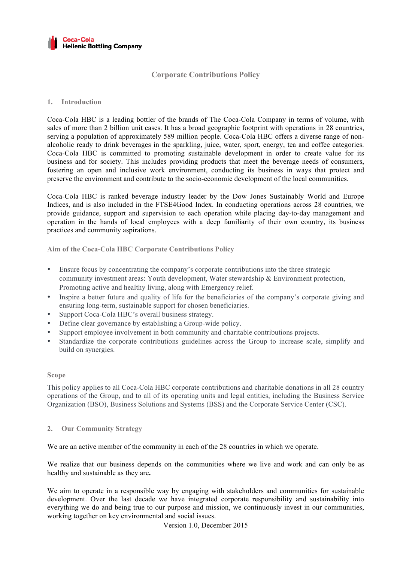

# **Corporate Contributions Policy**

# **1. Introduction**

Coca-Cola HBC is a leading bottler of the brands of The Coca-Cola Company in terms of volume, with sales of more than 2 billion unit cases. It has a broad geographic footprint with operations in 28 countries, serving a population of approximately 589 million people. Coca-Cola HBC offers a diverse range of nonalcoholic ready to drink beverages in the sparkling, juice, water, sport, energy, tea and coffee categories. Coca-Cola HBC is committed to promoting sustainable development in order to create value for its business and for society. This includes providing products that meet the beverage needs of consumers, fostering an open and inclusive work environment, conducting its business in ways that protect and preserve the environment and contribute to the socio-economic development of the local communities.

Coca-Cola HBC is ranked beverage industry leader by the Dow Jones Sustainably World and Europe Indices, and is also included in the FTSE4Good Index. In conducting operations across 28 countries, we provide guidance, support and supervision to each operation while placing day-to-day management and operation in the hands of local employees with a deep familiarity of their own country, its business practices and community aspirations.

**Aim of the Coca-Cola HBC Corporate Contributions Policy**

- Ensure focus by concentrating the company's corporate contributions into the three strategic community investment areas: Youth development, Water stewardship & Environment protection, Promoting active and healthy living, along with Emergency relief.
- Inspire a better future and quality of life for the beneficiaries of the company's corporate giving and ensuring long-term, sustainable support for chosen beneficiaries.
- Support Coca-Cola HBC's overall business strategy.
- Define clear governance by establishing a Group-wide policy.
- Support employee involvement in both community and charitable contributions projects.
- Standardize the corporate contributions guidelines across the Group to increase scale, simplify and build on synergies.

#### **Scope**

This policy applies to all Coca-Cola HBC corporate contributions and charitable donations in all 28 country operations of the Group, and to all of its operating units and legal entities, including the Business Service Organization (BSO), Business Solutions and Systems (BSS) and the Corporate Service Center (CSC).

#### **2. Our Community Strategy**

We are an active member of the community in each of the 28 countries in which we operate.

We realize that our business depends on the communities where we live and work and can only be as healthy and sustainable as they are**.** 

We aim to operate in a responsible way by engaging with stakeholders and communities for sustainable development. Over the last decade we have integrated corporate responsibility and sustainability into everything we do and being true to our purpose and mission, we continuously invest in our communities, working together on key environmental and social issues.

Version 1.0, December 2015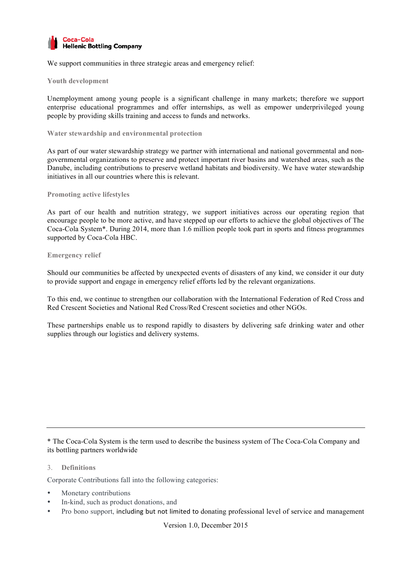

We support communities in three strategic areas and emergency relief:

## **Youth development**

Unemployment among young people is a significant challenge in many markets; therefore we support enterprise educational programmes and offer internships, as well as empower underprivileged young people by providing skills training and access to funds and networks.

## **Water stewardship and environmental protection**

As part of our water stewardship strategy we partner with international and national governmental and nongovernmental organizations to preserve and protect important river basins and watershed areas, such as the Danube, including contributions to preserve wetland habitats and biodiversity. We have water stewardship initiatives in all our countries where this is relevant.

## **Promoting active lifestyles**

As part of our health and nutrition strategy, we support initiatives across our operating region that encourage people to be more active, and have stepped up our efforts to achieve the global objectives of The Coca-Cola System\*. During 2014, more than 1.6 million people took part in sports and fitness programmes supported by Coca-Cola HBC.

## **Emergency relief**

Should our communities be affected by unexpected events of disasters of any kind, we consider it our duty to provide support and engage in emergency relief efforts led by the relevant organizations.

To this end, we continue to strengthen our collaboration with the International Federation of Red Cross and Red Crescent Societies and National Red Cross/Red Crescent societies and other NGOs.

These partnerships enable us to respond rapidly to disasters by delivering safe drinking water and other supplies through our logistics and delivery systems.

\* The Coca-Cola System is the term used to describe the business system of The Coca-Cola Company and its bottling partners worldwide

# 3. **Definitions**

Corporate Contributions fall into the following categories:

- Monetary contributions
- In-kind, such as product donations, and
- Pro bono support, including but not limited to donating professional level of service and management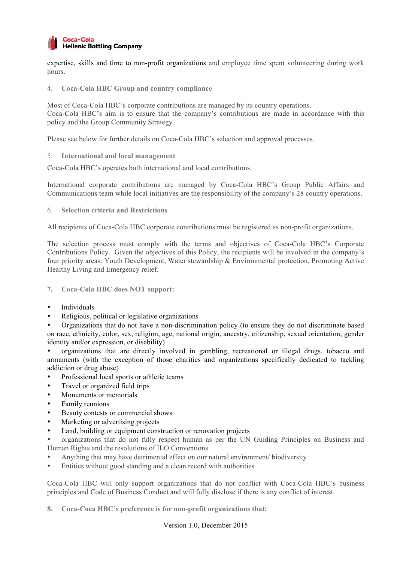

expertise, skills and time to non-profit organizations and employee time spent volunteering during work hours.

4. **Coca-Cola HBC Group and country compliance**

Most of Coca-Cola HBC's corporate contributions are managed by its country operations. Coca-Cola HBC's aim is to ensure that the company's contributions are made in accordance with this policy and the Group Community Strategy.

Please see below for further details on Coca-Cola HBC's selection and approval processes.

5. **International and local management**

Coca-Cola HBC's operates both international and local contributions.

International corporate contributions are managed by Coca-Cola HBC's Group Public Affairs and Communications team while local initiatives are the responsibility of the company's 28 country operations.

6. **Selection criteria and Restrictions**

All recipients of Coca-Cola HBC corporate contributions must be registered as non-profit organizations.

The selection process must comply with the terms and objectives of Coca-Cola HBC's Corporate Contributions Policy. Given the objectives of this Policy, the recipients will be involved in the company's four priority areas: Youth Development, Water stewardship & Environmental protection, Promoting Active Healthy Living and Emergency relief.

- **7. Coca-Cola HBC does NOT support:**
- **Individuals**
- Religious, political or legislative organizations

• Organizations that do not have a non-discrimination policy (to ensure they do not discriminate based on race, ethnicity, color, sex, religion, age, national origin, ancestry, citizenship, sexual orientation, gender identity and/or expression, or disability)

• organizations that are directly involved in gambling, recreational or illegal drugs, tobacco and armaments (with the exception of those charities and organizations specifically dedicated to tackling addiction or drug abuse)

- Professional local sports or athletic teams
- Travel or organized field trips
- Monuments or memorials
- Family reunions
- Beauty contests or commercial shows
- Marketing or advertising projects
- Land, building or equipment construction or renovation projects

• organizations that do not fully respect human as per the UN Guiding Principles on Business and Human Rights and the resolutions of ILO Conventions.

- Anything that may have detrimental effect on our natural environment/ biodiversity
- Entities without good standing and a clean record with authorities

Coca-Cola HBC will only support organizations that do not conflict with Coca-Cola HBC's business principles and Code of Business Conduct and will fully disclose if there is any conflict of interest.

**8. Coca-Coca HBC's preference is for non-profit organizations that:**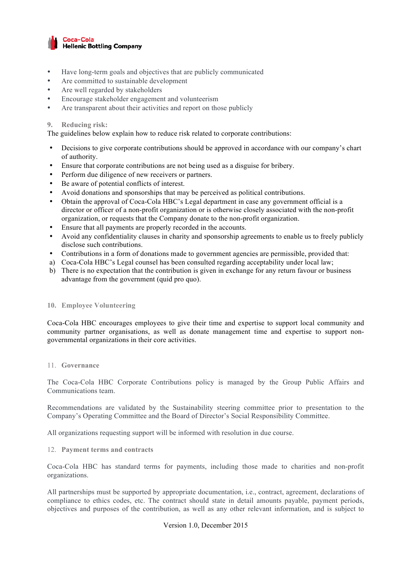

- Have long-term goals and objectives that are publicly communicated
- Are committed to sustainable development
- Are well regarded by stakeholders
- Encourage stakeholder engagement and volunteerism
- Are transparent about their activities and report on those publicly

## **9. Reducing risk:**

The guidelines below explain how to reduce risk related to corporate contributions:

- Decisions to give corporate contributions should be approved in accordance with our company's chart of authority.
- Ensure that corporate contributions are not being used as a disguise for bribery.
- Perform due diligence of new receivers or partners.
- Be aware of potential conflicts of interest.
- Avoid donations and sponsorships that may be perceived as political contributions.
- Obtain the approval of Coca-Cola HBC's Legal department in case any government official is a director or officer of a non-profit organization or is otherwise closely associated with the non-profit organization, or requests that the Company donate to the non-profit organization.
- Ensure that all payments are properly recorded in the accounts.
- Avoid any confidentiality clauses in charity and sponsorship agreements to enable us to freely publicly disclose such contributions.
- Contributions in a form of donations made to government agencies are permissible, provided that:
- a) Coca-Cola HBC's Legal counsel has been consulted regarding acceptability under local law;
- b) There is no expectation that the contribution is given in exchange for any return favour or business advantage from the government (quid pro quo).

#### **10. Employee Volunteering**

Coca-Cola HBC encourages employees to give their time and expertise to support local community and community partner organisations, as well as donate management time and expertise to support nongovernmental organizations in their core activities.

#### 11. **Governance**

The Coca-Cola HBC Corporate Contributions policy is managed by the Group Public Affairs and Communications team.

Recommendations are validated by the Sustainability steering committee prior to presentation to the Company's Operating Committee and the Board of Director's Social Responsibility Committee.

All organizations requesting support will be informed with resolution in due course.

12. **Payment terms and contracts**

Coca-Cola HBC has standard terms for payments, including those made to charities and non-profit organizations.

All partnerships must be supported by appropriate documentation, i.e., contract, agreement, declarations of compliance to ethics codes, etc. The contract should state in detail amounts payable, payment periods, objectives and purposes of the contribution, as well as any other relevant information, and is subject to